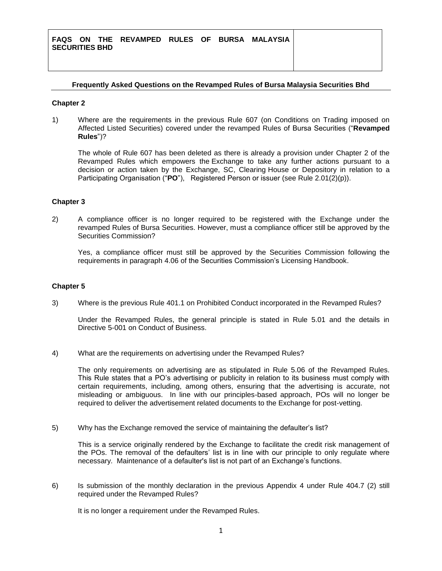### **Frequently Asked Questions on the Revamped Rules of Bursa Malaysia Securities Bhd**

#### **Chapter 2**

1) Where are the requirements in the previous Rule 607 (on Conditions on Trading imposed on Affected Listed Securities) covered under the revamped Rules of Bursa Securities ("**Revamped Rules**")?

The whole of Rule 607 has been deleted as there is already a provision under Chapter 2 of the Revamped Rules which empowers the Exchange to take any further actions pursuant to a decision or action taken by the Exchange, SC, Clearing House or Depository in relation to a Participating Organisation ("**PO**"), Registered Person or issuer (see Rule 2.01(2)(p)).

#### **Chapter 3**

2) A compliance officer is no longer required to be registered with the Exchange under the revamped Rules of Bursa Securities. However, must a compliance officer still be approved by the Securities Commission?

Yes, a compliance officer must still be approved by the Securities Commission following the requirements in paragraph 4.06 of the Securities Commission's Licensing Handbook.

#### **Chapter 5**

3) Where is the previous Rule 401.1 on Prohibited Conduct incorporated in the Revamped Rules?

Under the Revamped Rules, the general principle is stated in Rule 5.01 and the details in Directive 5-001 on Conduct of Business.

4) What are the requirements on advertising under the Revamped Rules?

The only requirements on advertising are as stipulated in Rule 5.06 of the Revamped Rules. This Rule states that a PO's advertising or publicity in relation to its business must comply with certain requirements, including, among others, ensuring that the advertising is accurate, not misleading or ambiguous. In line with our principles-based approach, POs will no longer be required to deliver the advertisement related documents to the Exchange for post-vetting.

5) Why has the Exchange removed the service of maintaining the defaulter's list?

This is a service originally rendered by the Exchange to facilitate the credit risk management of the POs. The removal of the defaulters' list is in line with our principle to only regulate where necessary. Maintenance of a defaulter's list is not part of an Exchange's functions.

6) Is submission of the monthly declaration in the previous Appendix 4 under Rule 404.7 (2) still required under the Revamped Rules?

It is no longer a requirement under the Revamped Rules.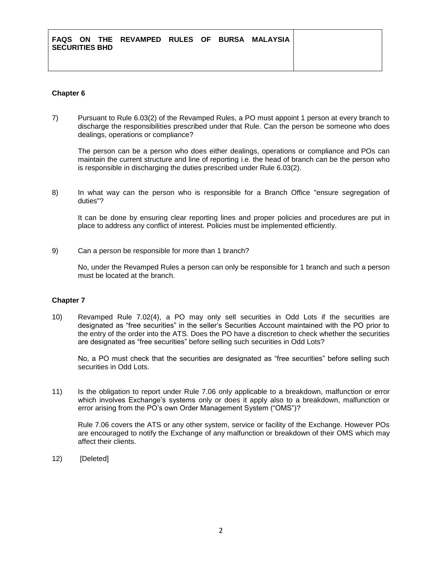# **Chapter 6**

7) Pursuant to Rule 6.03(2) of the Revamped Rules, a PO must appoint 1 person at every branch to discharge the responsibilities prescribed under that Rule. Can the person be someone who does dealings, operations or compliance?

The person can be a person who does either dealings, operations or compliance and POs can maintain the current structure and line of reporting i.e. the head of branch can be the person who is responsible in discharging the duties prescribed under Rule 6.03(2).

8) In what way can the person who is responsible for a Branch Office "ensure segregation of duties"?

It can be done by ensuring clear reporting lines and proper policies and procedures are put in place to address any conflict of interest. Policies must be implemented efficiently.

9) Can a person be responsible for more than 1 branch?

No, under the Revamped Rules a person can only be responsible for 1 branch and such a person must be located at the branch.

## **Chapter 7**

10) Revamped Rule 7.02(4), a PO may only sell securities in Odd Lots if the securities are designated as "free securities" in the seller's Securities Account maintained with the PO prior to the entry of the order into the ATS. Does the PO have a discretion to check whether the securities are designated as "free securities" before selling such securities in Odd Lots?

No, a PO must check that the securities are designated as "free securities" before selling such securities in Odd Lots.

11) Is the obligation to report under Rule 7.06 only applicable to a breakdown, malfunction or error which involves Exchange's systems only or does it apply also to a breakdown, malfunction or error arising from the PO's own Order Management System ("OMS")?

Rule 7.06 covers the ATS or any other system, service or facility of the Exchange. However POs are encouraged to notify the Exchange of any malfunction or breakdown of their OMS which may affect their clients.

12) [Deleted]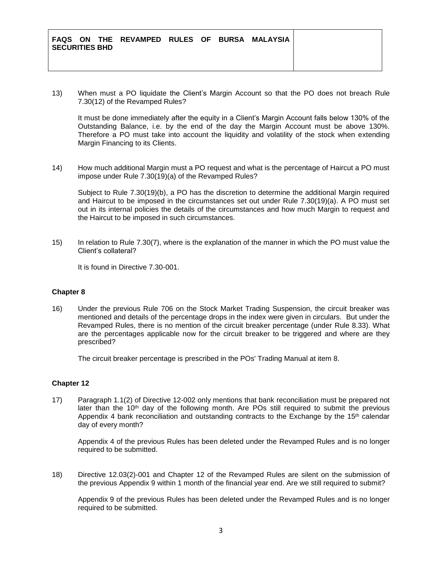13) When must a PO liquidate the Client's Margin Account so that the PO does not breach Rule 7.30(12) of the Revamped Rules?

It must be done immediately after the equity in a Client's Margin Account falls below 130% of the Outstanding Balance, i.e. by the end of the day the Margin Account must be above 130%. Therefore a PO must take into account the liquidity and volatility of the stock when extending Margin Financing to its Clients.

14) How much additional Margin must a PO request and what is the percentage of Haircut a PO must impose under Rule 7.30(19)(a) of the Revamped Rules?

Subject to Rule 7.30(19)(b), a PO has the discretion to determine the additional Margin required and Haircut to be imposed in the circumstances set out under Rule 7.30(19)(a). A PO must set out in its internal policies the details of the circumstances and how much Margin to request and the Haircut to be imposed in such circumstances.

15) In relation to Rule 7.30(7), where is the explanation of the manner in which the PO must value the Client's collateral?

It is found in Directive 7.30-001.

## **Chapter 8**

16) Under the previous Rule 706 on the Stock Market Trading Suspension, the circuit breaker was mentioned and details of the percentage drops in the index were given in circulars. But under the Revamped Rules, there is no mention of the circuit breaker percentage (under Rule 8.33). What are the percentages applicable now for the circuit breaker to be triggered and where are they prescribed?

The circuit breaker percentage is prescribed in the POs' Trading Manual at item 8.

## **Chapter 12**

17) Paragraph 1.1(2) of Directive 12-002 only mentions that bank reconciliation must be prepared not later than the 10<sup>th</sup> day of the following month. Are POs still required to submit the previous Appendix 4 bank reconciliation and outstanding contracts to the Exchange by the  $15<sup>th</sup>$  calendar day of every month?

Appendix 4 of the previous Rules has been deleted under the Revamped Rules and is no longer required to be submitted.

18) Directive 12.03(2)-001 and Chapter 12 of the Revamped Rules are silent on the submission of the previous Appendix 9 within 1 month of the financial year end. Are we still required to submit?

Appendix 9 of the previous Rules has been deleted under the Revamped Rules and is no longer required to be submitted.